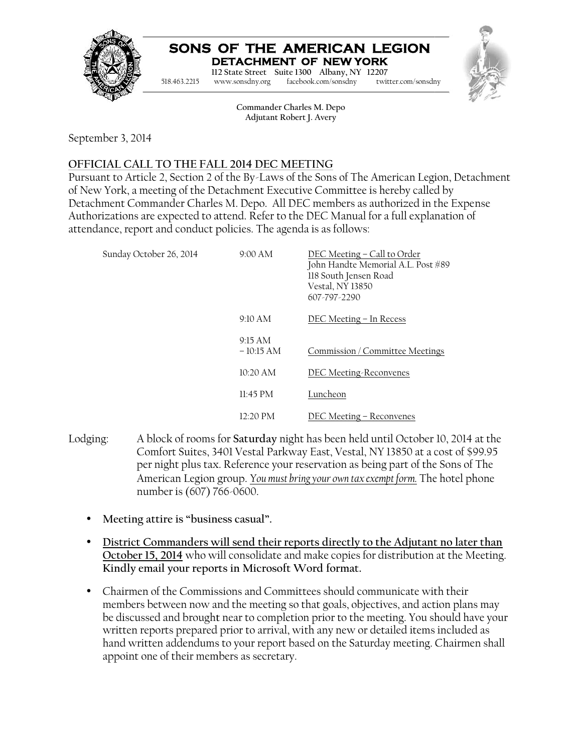

#### **SONS OF THE AMERICAN LEGION DETACHMENT OF NEW YORK**



September 3, 2014

# **OFFICIAL CALL TO THE FALL 2014 DEC MEETING TO**

Pursuant to Article 2, Section 2 of the By-Laws of the Sons of The American Legion, Detachment of New York, a meeting of the Detachment Executive Committee is hereby called by Detachment Commander Charles M. Depo. All DEC members as authorized in the Expense Authorizations are expected to attend. Refer to the DEC Manual for a full explanation of attendance, report and conduct policies. The agenda is as follows: to Article 2, Section 2 of the By-Laws of the Sons of The American Legion, Deta<br>ork, a meeting of the Detachment Executive Committee is hereby called by<br>ent Commander Charles M. Depo. All DEC members as authorized in the E

|                         |                           |                                                             | SONS OF THE AMERICAN LEGION<br>DETACHMENT OF NEW YORK                                                                                                                                                                                                                                                                                                                                                                                     |  |
|-------------------------|---------------------------|-------------------------------------------------------------|-------------------------------------------------------------------------------------------------------------------------------------------------------------------------------------------------------------------------------------------------------------------------------------------------------------------------------------------------------------------------------------------------------------------------------------------|--|
|                         | 518.463.2215              | www.sonsdny.org                                             | 112 State Street Suite 1300 Albany, NY 12207<br>facebook.com/sonsdny<br>twitter.com/sonsdny                                                                                                                                                                                                                                                                                                                                               |  |
|                         |                           | Commander Charles M. Depo<br>Adjutant Robert J. Avery       |                                                                                                                                                                                                                                                                                                                                                                                                                                           |  |
| ber 3, 2014             |                           |                                                             |                                                                                                                                                                                                                                                                                                                                                                                                                                           |  |
|                         |                           | IAL CALL TO THE FALL 2014 DEC MEETING                       |                                                                                                                                                                                                                                                                                                                                                                                                                                           |  |
|                         |                           | nce, report and conduct policies. The agenda is as follows: | nt to Article 2, Section 2 of the By-Laws of the Sons of The American Legion, Detachmer<br>York, a meeting of the Detachment Executive Committee is hereby called by<br>ment Commander Charles M. Depo. All DEC members as authorized in the Expense<br>izations are expected to attend. Refer to the DEC Manual for a full explanation of                                                                                                |  |
| Sunday October 26, 2014 |                           | 9:00 AM                                                     | DEC Meeting - Call to Order<br>John Handte Memorial A.L. Post #89<br>118 South Jensen Road<br>Vestal, NY 13850<br>607-797-2290                                                                                                                                                                                                                                                                                                            |  |
|                         |                           | 9:10 AM                                                     | DEC Meeting - In Recess                                                                                                                                                                                                                                                                                                                                                                                                                   |  |
|                         |                           | 9:15 AM<br>$-10:15 AM$                                      | Commission / Committee Meetings                                                                                                                                                                                                                                                                                                                                                                                                           |  |
|                         |                           | 10:20 AM                                                    | <b>DEC Meeting-Reconvenes</b>                                                                                                                                                                                                                                                                                                                                                                                                             |  |
|                         |                           | 11:45 PM                                                    | Luncheon                                                                                                                                                                                                                                                                                                                                                                                                                                  |  |
|                         |                           | 12:20 PM                                                    | DEC Meeting - Reconvenes                                                                                                                                                                                                                                                                                                                                                                                                                  |  |
| z:                      | number is (607) 766-0600. |                                                             | A block of rooms for Saturday night has been held until October 10, 2014 at the<br>Comfort Suites, 3401 Vestal Parkway East, Vestal, NY 13850 at a cost of \$99.95<br>per night plus tax. Reference your reservation as being part of the Sons of The<br>American Legion group. You must bring your own tax exempt form. The hotel phone                                                                                                  |  |
|                         |                           | Meeting attire is "business casual".                        |                                                                                                                                                                                                                                                                                                                                                                                                                                           |  |
|                         |                           | Kindly email your reports in Microsoft Word format.         | <u>District Commanders will send their reports directly to the Adjutant no later than</u><br>October 15, 2014 who will consolidate and make copies for distribution at the Meeting                                                                                                                                                                                                                                                        |  |
|                         |                           | appoint one of their members as secretary.                  | Chairmen of the Commissions and Committees should communicate with their<br>members between now and the meeting so that goals, objectives, and action plans may<br>be discussed and brought near to completion prior to the meeting. You should have you:<br>written reports prepared prior to arrival, with any new or detailed items included as<br>hand written addendums to your report based on the Saturday meeting. Chairmen shall |  |

- Lodging: A block of rooms for **Saturday** night has been held until October 10, 2014 at the Comfort Suites, 3401 Vestal Parkway East, Vestal, NY 13850 at a cost of \$99.95 per night plus tax. Reference your reservation as being part of the Sons of The American Legion group. <u>Y*ou must bring your own tax exempt form*.</u> The hotel phone number is (607) 766-0600. A block of rooms for **Saturday** night has been held until October 10, 2014 at the<br>Comfort Suites, 3401 Vestal Parkway East, Vestal, NY 13850 at a cost of \$99.95<br>per night plus tax. Reference your reservation as being part
	- **Meeting attire is "business casual".**
	- Meeting attire is "business casual".<br>• <u>District Commanders will send their reports directly to the Adjutant no later than</u> **October 15, 2014** who will consolidate and make copies for distribution at the Meeting. **Kindly email your reports in Microsoft Word format. format.**
	- Chairmen of the Commissions and Committees should communicate with their members between now and the meeting so that goals, objectives, and action plans may members between now and the meeting so that goals, objectives, and action plans may<br>be discussed and brought near to completion prior to the meeting. You should have your written reports prepared prior to arrival, with any new or detailed items included as hand written addendums to your report based on the Saturday meeting. Chairmen shall appoint one of their members as secretary.